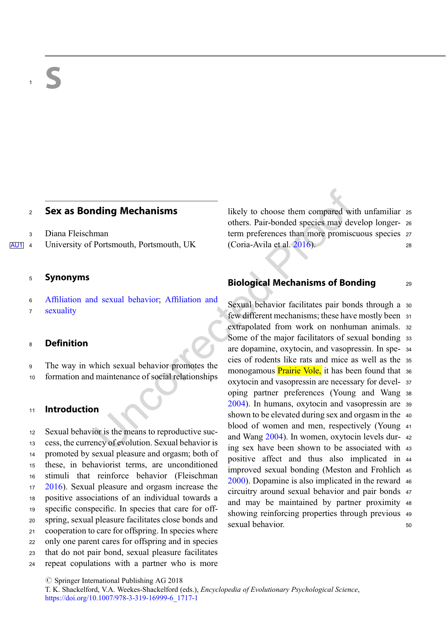# <sup>2</sup> Sex as Bonding Mechanisms

<sup>3</sup> Diana Fleischman

AU1 4 University of Portsmouth, Portsmouth, UK

#### <sup>5</sup> Synonyms

- <sup>6</sup> Affiliation and sexual behavior; Affiliation and
- <sup>7</sup> sexuality

### <sup>8</sup> Definition

- <sup>9</sup> The way in which sexual behavior promotes the
- <sup>10</sup> formation and maintenance of social relationships

### <sup>11</sup> Introduction

 Sexual behavior is the means to reproductive suc- cess, the currency of evolution. Sexual behavior is promoted by sexual pleasure and orgasm; both of these, in behaviorist terms, are unconditioned stimuli that reinforce behavior (Fleischman [2016\)](#page-1-0). Sexual pleasure and orgasm increase the positive associations of an individual towards a specific conspecific. In species that care for off- spring, sexual pleasure facilitates close bonds and cooperation to care for offspring. In species where only one parent cares for offspring and in species that do not pair bond, sexual pleasure facilitates repeat copulations with a partner who is more

likely to choose them compared with unfamiliar <sup>25</sup> others. Pair-bonded species may develop longer- <sup>26</sup> term preferences than more promiscuous species <sup>27</sup> (Coria-Avila et al. [2016\)](#page-1-0). <sup>28</sup>

# Biological Mechanisms of Bonding 29

Sexual behavior facilitates pair bonds through a 30 few different mechanisms; these have mostly been <sup>31</sup> extrapolated from work on nonhuman animals. <sup>32</sup> Some of the major facilitators of sexual bonding 33 are dopamine, oxytocin, and vasopressin. In spe- <sup>34</sup> cies of rodents like rats and mice as well as the <sup>35</sup> monogamous **Prairie Vole**, it has been found that 36 oxytocin and vasopressin are necessary for devel- <sup>37</sup> oping partner preferences (Young and Wang <sup>38</sup> [2004\)](#page-1-0). In humans, oxytocin and vasopressin are <sup>39</sup> shown to be elevated during sex and orgasm in the 40 blood of women and men, respectively (Young <sup>41</sup> and Wang [2004\)](#page-1-0). In women, oxytocin levels dur- <sup>42</sup> ing sex have been shown to be associated with <sup>43</sup> positive affect and thus also implicated in <sup>44</sup> improved sexual bonding (Meston and Frohlich <sup>45</sup> [2000\)](#page-1-0). Dopamine is also implicated in the reward <sup>46</sup> circuitry around sexual behavior and pair bonds <sup>47</sup> and may be maintained by partner proximity <sup>48</sup> showing reinforcing properties through previous <sup>49</sup> sexual behavior. 50

 $\oslash$  Springer International Publishing AG 2018